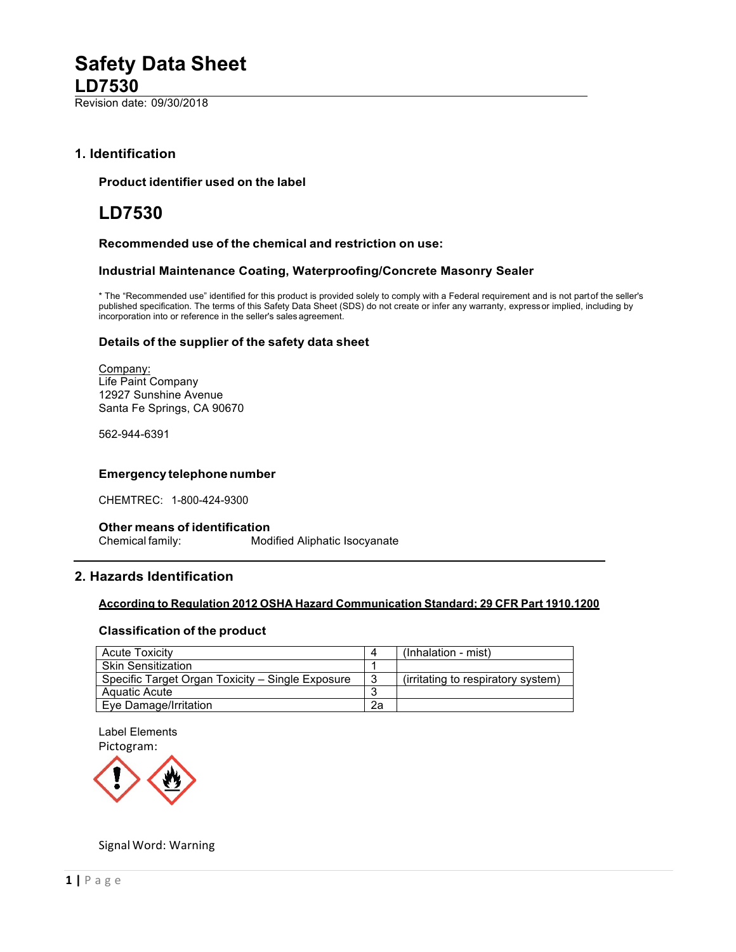Revision date: 09/30/2018

# **1. Identification**

## **Product identifier used on the label**

# **LD7530**

## **Recommended use of the chemical and restriction on use:**

## **Industrial Maintenance Coating, Waterproofing/Concrete Masonry Sealer**

\* The "Recommended use" identified for this product is provided solely to comply with a Federal requirement and is not partof the seller's published specification. The terms of this Safety Data Sheet (SDS) do not create or infer any warranty, expressor implied, including by incorporation into or reference in the seller's sales agreement.

## **Details of the supplier of the safety data sheet**

Company: Life Paint Company 12927 Sunshine Avenue Santa Fe Springs, CA 90670

562-944-6391

## **Emergency telephonenumber**

CHEMTREC: 1-800-424-9300

## **Other means of identification** Chemical family: Modified Aliphatic Isocyanate

# **2. Hazards Identification**

## **According to Regulation 2012 OSHA Hazard Communication Standard; 29 CFR Part 1910.1200**

## **Classification of the product**

| <b>Acute Toxicity</b>                            |    | (Inhalation - mist)                |
|--------------------------------------------------|----|------------------------------------|
| <b>Skin Sensitization</b>                        |    |                                    |
| Specific Target Organ Toxicity – Single Exposure | 3  | (irritating to respiratory system) |
| Aquatic Acute                                    | J  |                                    |
| Eye Damage/Irritation                            | 2a |                                    |

Label Elements Pictogram:



## Signal Word: Warning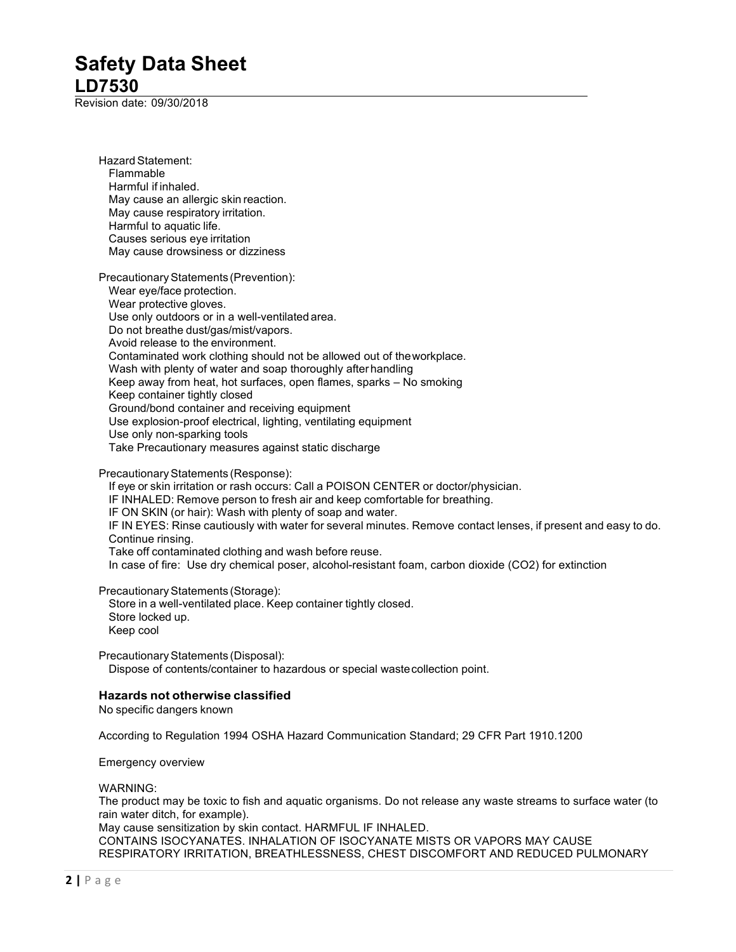Revision date: 09/30/2018

Hazard Statement: Flammable Harmful if inhaled. May cause an allergic skin reaction. May cause respiratory irritation. Harmful to aquatic life. Causes serious eye irritation May cause drowsiness or dizziness Precautionary Statements (Prevention): Wear eye/face protection. Wear protective gloves. Use only outdoors or in a well-ventilated area. Do not breathe dust/gas/mist/vapors. Avoid release to the environment. Contaminated work clothing should not be allowed out of theworkplace. Wash with plenty of water and soap thoroughly after handling Keep away from heat, hot surfaces, open flames, sparks – No smoking Keep container tightly closed Ground/bond container and receiving equipment Use explosion-proof electrical, lighting, ventilating equipment Use only non-sparking tools Take Precautionary measures against static discharge Precautionary Statements (Response): If eye or skin irritation or rash occurs: Call a POISON CENTER or doctor/physician. IF INHALED: Remove person to fresh air and keep comfortable for breathing. IF ON SKIN (or hair): Wash with plenty of soap and water. IF IN EYES: Rinse cautiously with water for several minutes. Remove contact lenses, if present and easy to do. Continue rinsing. Take off contaminated clothing and wash before reuse. In case of fire: Use dry chemical poser, alcohol-resistant foam, carbon dioxide (CO2) for extinction Precautionary Statements (Storage): Store in a well-ventilated place. Keep container tightly closed. Store locked up. Keep cool Precautionary Statements (Disposal): Dispose of contents/container to hazardous or special wastecollection point. **Hazards not otherwise classified** No specific dangers known According to Regulation 1994 OSHA Hazard Communication Standard; 29 CFR Part 1910.1200 Emergency overview WARNING: The product may be toxic to fish and aquatic organisms. Do not release any waste streams to surface water (to rain water ditch, for example). May cause sensitization by skin contact. HARMFUL IF INHALED.

CONTAINS ISOCYANATES. INHALATION OF ISOCYANATE MISTS OR VAPORS MAY CAUSE RESPIRATORY IRRITATION, BREATHLESSNESS, CHEST DISCOMFORT AND REDUCED PULMONARY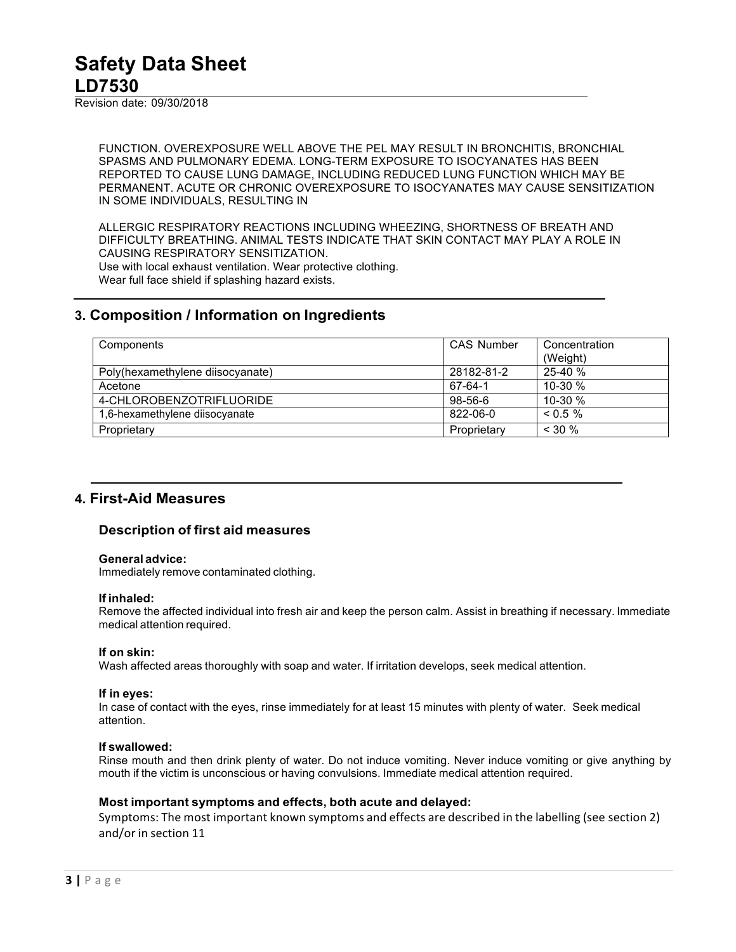Revision date: 09/30/2018

FUNCTION. OVEREXPOSURE WELL ABOVE THE PEL MAY RESULT IN BRONCHITIS, BRONCHIAL SPASMS AND PULMONARY EDEMA. LONG-TERM EXPOSURE TO ISOCYANATES HAS BEEN REPORTED TO CAUSE LUNG DAMAGE, INCLUDING REDUCED LUNG FUNCTION WHICH MAY BE PERMANENT. ACUTE OR CHRONIC OVEREXPOSURE TO ISOCYANATES MAY CAUSE SENSITIZATION IN SOME INDIVIDUALS, RESULTING IN

ALLERGIC RESPIRATORY REACTIONS INCLUDING WHEEZING, SHORTNESS OF BREATH AND DIFFICULTY BREATHING. ANIMAL TESTS INDICATE THAT SKIN CONTACT MAY PLAY A ROLE IN CAUSING RESPIRATORY SENSITIZATION. Use with local exhaust ventilation. Wear protective clothing. Wear full face shield if splashing hazard exists.

# **3. Composition / Information on Ingredients**

| Components                       | CAS Number  | Concentration |
|----------------------------------|-------------|---------------|
|                                  |             | (Weight)      |
| Poly(hexamethylene diisocyanate) | 28182-81-2  | $25-40%$      |
| Acetone                          | 67-64-1     | $10-30%$      |
| 4-CHLOROBENZOTRIFLUORIDE         | $98-56-6$   | $10-30%$      |
| 1,6-hexamethylene diisocyanate   | 822-06-0    | $0.5\%$       |
| Proprietary                      | Proprietary | $<$ 30 %      |

# **4. First-Aid Measures**

# **Description of first aid measures**

## **General advice:**

Immediately remove contaminated clothing.

## **If inhaled:**

Remove the affected individual into fresh air and keep the person calm. Assist in breathing if necessary. Immediate medical attention required.

# **If on skin:**

Wash affected areas thoroughly with soap and water. If irritation develops, seek medical attention.

## **If in eyes:**

In case of contact with the eyes, rinse immediately for at least 15 minutes with plenty of water. Seek medical attention.

# **If swallowed:**

Rinse mouth and then drink plenty of water. Do not induce vomiting. Never induce vomiting or give anything by mouth if the victim is unconscious or having convulsions. Immediate medical attention required.

# **Most important symptoms and effects, both acute and delayed:**

Symptoms: The most important known symptoms and effects are described in the labelling (see section 2) and/or in section 11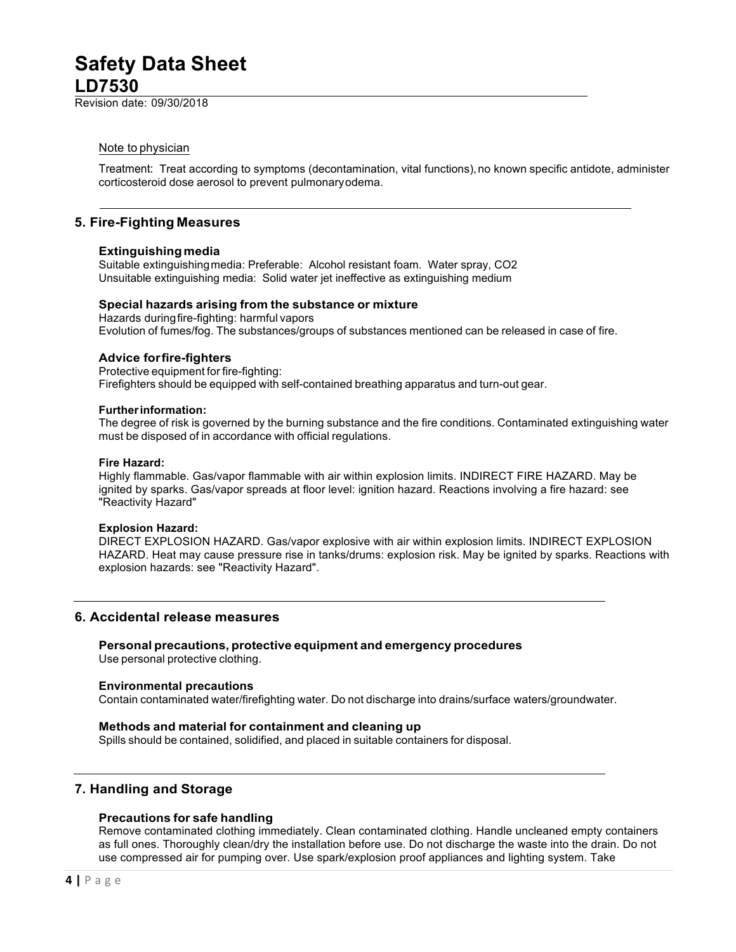Revision date: 09/30/2018

## Note to physician

Treatment: Treat according to symptoms (decontamination, vital functions), no known specific antidote, administer corticosteroid dose aerosol to prevent pulmonaryodema.

# **5. Fire-Fighting Measures**

## **Extinguishingmedia**

Suitable extinguishingmedia: Preferable: Alcohol resistant foam. Water spray, CO2 Unsuitable extinguishing media: Solid water jet ineffective as extinguishing medium

## **Special hazards arising from the substance or mixture**

Hazards duringfire-fighting: harmful vapors Evolution of fumes/fog. The substances/groups of substances mentioned can be released in case of fire.

## **Advice forfire-fighters**

Protective equipment for fire-fighting: Firefighters should be equipped with self-contained breathing apparatus and turn-out gear.

#### **Furtherinformation:**

The degree of risk is governed by the burning substance and the fire conditions. Contaminated extinguishing water must be disposed of in accordance with official regulations.

#### **Fire Hazard:**

Highly flammable. Gas/vapor flammable with air within explosion limits. INDIRECT FIRE HAZARD. May be ignited by sparks. Gas/vapor spreads at floor level: ignition hazard. Reactions involving a fire hazard: see "Reactivity Hazard"

## **Explosion Hazard:**

DIRECT EXPLOSION HAZARD. Gas/vapor explosive with air within explosion limits. INDIRECT EXPLOSION HAZARD. Heat may cause pressure rise in tanks/drums: explosion risk. May be ignited by sparks. Reactions with explosion hazards: see "Reactivity Hazard".

# **6. Accidental release measures**

## **Personal precautions, protective equipment and emergency procedures**

Use personal protective clothing.

## **Environmental precautions**

Contain contaminated water/firefighting water. Do not discharge into drains/surface waters/groundwater.

## **Methods and material for containment and cleaning up**

Spills should be contained, solidified, and placed in suitable containers for disposal.

# **7. Handling and Storage**

## **Precautions for safe handling**

Remove contaminated clothing immediately. Clean contaminated clothing. Handle uncleaned empty containers as full ones. Thoroughly clean/dry the installation before use. Do not discharge the waste into the drain. Do not use compressed air for pumping over. Use spark/explosion proof appliances and lighting system. Take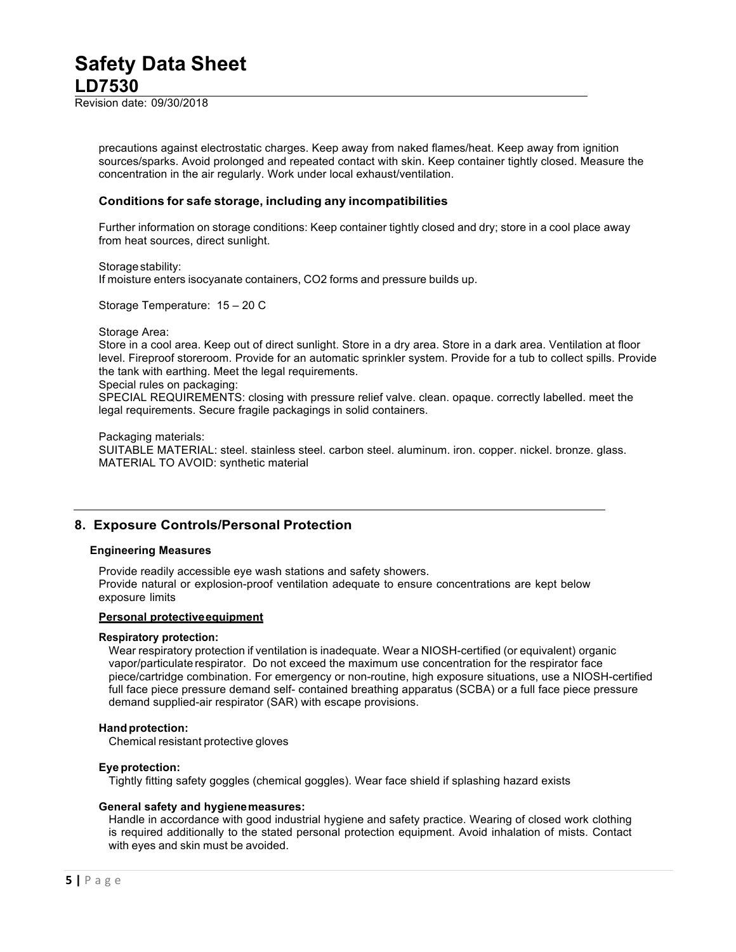Revision date: 09/30/2018

precautions against electrostatic charges. Keep away from naked flames/heat. Keep away from ignition sources/sparks. Avoid prolonged and repeated contact with skin. Keep container tightly closed. Measure the concentration in the air regularly. Work under local exhaust/ventilation.

## **Conditions for safe storage, including any incompatibilities**

Further information on storage conditions: Keep container tightly closed and dry; store in a cool place away from heat sources, direct sunlight.

Storage stability: If moisture enters isocyanate containers, CO2 forms and pressure builds up.

Storage Temperature: 15 – 20 C

#### Storage Area:

Store in a cool area. Keep out of direct sunlight. Store in a dry area. Store in a dark area. Ventilation at floor level. Fireproof storeroom. Provide for an automatic sprinkler system. Provide for a tub to collect spills. Provide the tank with earthing. Meet the legal requirements.

Special rules on packaging:

SPECIAL REQUIREMENTS: closing with pressure relief valve. clean. opaque. correctly labelled. meet the legal requirements. Secure fragile packagings in solid containers.

#### Packaging materials:

SUITABLE MATERIAL: steel. stainless steel. carbon steel. aluminum. iron. copper. nickel. bronze. glass. MATERIAL TO AVOID: synthetic material

# **8. Exposure Controls/Personal Protection**

#### **Engineering Measures**

Provide readily accessible eye wash stations and safety showers. Provide natural or explosion-proof ventilation adequate to ensure concentrations are kept below exposure limits

#### **Personal protectiveequipment**

#### **Respiratory protection:**

Wear respiratory protection if ventilation is inadequate. Wear a NIOSH-certified (or equivalent) organic vapor/particulate respirator. Do not exceed the maximum use concentration for the respirator face piece/cartridge combination. For emergency or non-routine, high exposure situations, use a NIOSH-certified full face piece pressure demand self- contained breathing apparatus (SCBA) or a full face piece pressure demand supplied-air respirator (SAR) with escape provisions.

## **Hand protection:**

Chemical resistant protective gloves

## **Eye protection:**

Tightly fitting safety goggles (chemical goggles). Wear face shield if splashing hazard exists

## **General safety and hygienemeasures:**

Handle in accordance with good industrial hygiene and safety practice. Wearing of closed work clothing is required additionally to the stated personal protection equipment. Avoid inhalation of mists. Contact with eyes and skin must be avoided.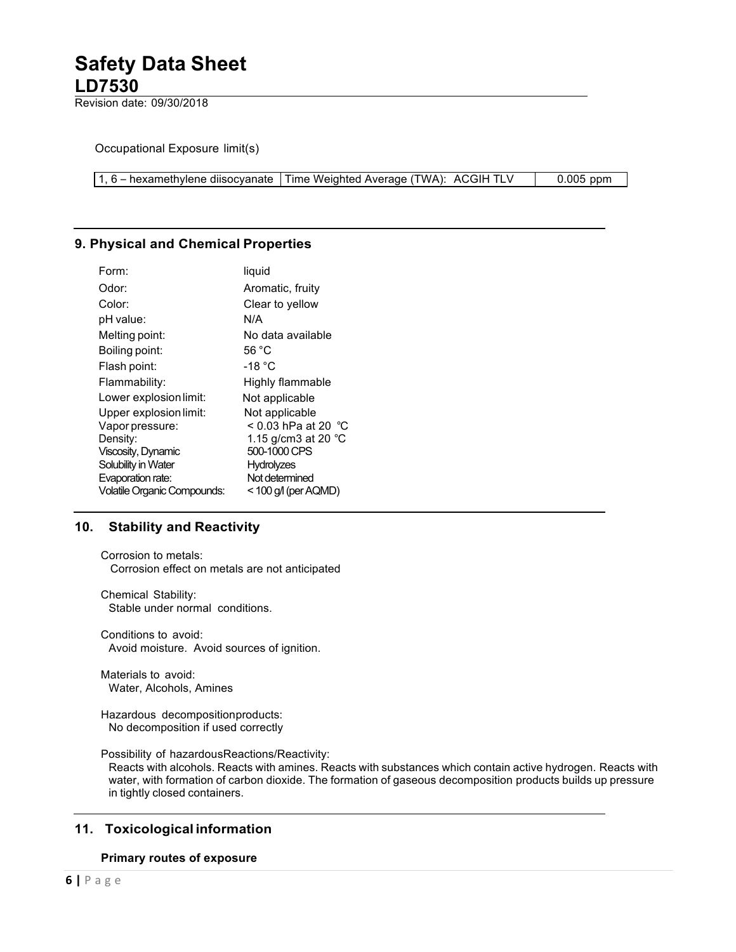Revision date: 09/30/2018

Occupational Exposure limit(s)

1, 6 – hexamethylene diisocyanate Time Weighted Average (TWA): ACGIH TLV  $\vert$  0.005 ppm

# **9. Physical and Chemical Properties**

| Form:                              | liquid                        |
|------------------------------------|-------------------------------|
| Odor:                              | Aromatic, fruity              |
| Color:                             | Clear to yellow               |
| pH value:                          | N/A                           |
| Melting point:                     | No data available             |
| Boiling point:                     | 56 °C                         |
| Flash point:                       | -18 °C                        |
| Flammability:                      | Highly flammable              |
| Lower explosion limit:             | Not applicable                |
| Upper explosion limit:             | Not applicable                |
| Vapor pressure:                    | < 0.03 hPa at 20  °C          |
| Density:                           | 1.15 g/cm3 at 20 $^{\circ}$ C |
| Viscosity, Dynamic                 | 500-1000 CPS                  |
| Solubility in Water                | <b>Hydrolyzes</b>             |
| Evaporation rate:                  | Not determined                |
| <b>Volatile Organic Compounds:</b> | $<$ 100 g/l (per AQMD)        |
|                                    |                               |

# **10. Stability and Reactivity**

Corrosion to metals: Corrosion effect on metals are not anticipated

Chemical Stability: Stable under normal conditions.

Conditions to avoid: Avoid moisture. Avoid sources of ignition.

Materials to avoid: Water, Alcohols, Amines

Hazardous decompositionproducts: No decomposition if used correctly

Possibility of hazardousReactions/Reactivity:

Reacts with alcohols. Reacts with amines. Reacts with substances which contain active hydrogen. Reacts with water, with formation of carbon dioxide. The formation of gaseous decomposition products builds up pressure in tightly closed containers.

# **11. Toxicological information**

# **Primary routes of exposure**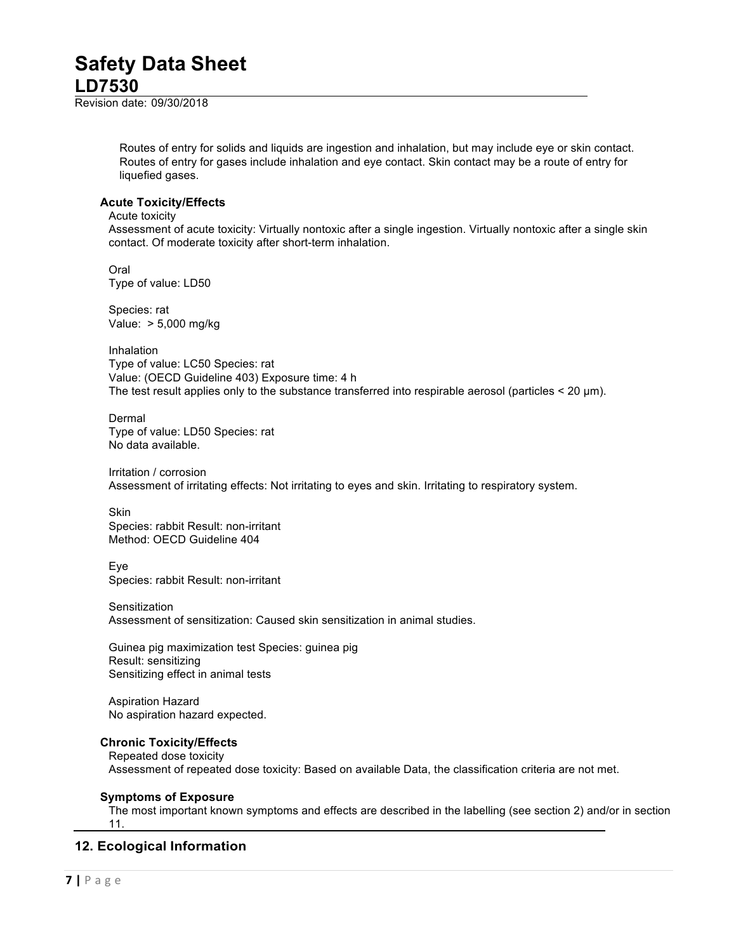Revision date: 09/30/2018

Routes of entry for solids and liquids are ingestion and inhalation, but may include eye or skin contact. Routes of entry for gases include inhalation and eye contact. Skin contact may be a route of entry for liquefied gases.

## **Acute Toxicity/Effects**

## Acute toxicity

Assessment of acute toxicity: Virtually nontoxic after a single ingestion. Virtually nontoxic after a single skin contact. Of moderate toxicity after short-term inhalation.

Oral Type of value: LD50

Species: rat Value: > 5,000 mg/kg

Inhalation Type of value: LC50 Species: rat Value: (OECD Guideline 403) Exposure time: 4 h The test result applies only to the substance transferred into respirable aerosol (particles  $<$  20  $\mu$ m).

Dermal Type of value: LD50 Species: rat No data available.

Irritation / corrosion Assessment of irritating effects: Not irritating to eyes and skin. Irritating to respiratory system.

**Skin** Species: rabbit Result: non-irritant Method: OECD Guideline 404

Eye Species: rabbit Result: non-irritant

Sensitization Assessment of sensitization: Caused skin sensitization in animal studies.

Guinea pig maximization test Species: guinea pig Result: sensitizing Sensitizing effect in animal tests

Aspiration Hazard No aspiration hazard expected.

# **Chronic Toxicity/Effects**

Repeated dose toxicity Assessment of repeated dose toxicity: Based on available Data, the classification criteria are not met.

# **Symptoms of Exposure**

The most important known symptoms and effects are described in the labelling (see section 2) and/or in section 11.

# **12. Ecological Information**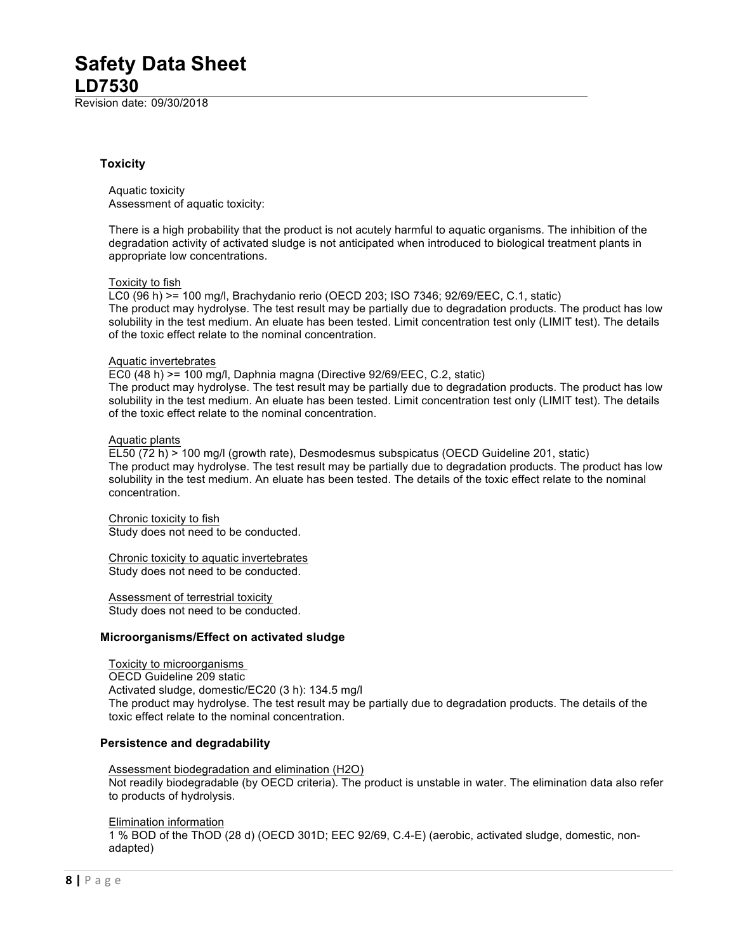Revision date: 09/30/2018

## **Toxicity**

Aquatic toxicity Assessment of aquatic toxicity:

There is a high probability that the product is not acutely harmful to aquatic organisms. The inhibition of the degradation activity of activated sludge is not anticipated when introduced to biological treatment plants in appropriate low concentrations.

#### Toxicity to fish

LC0 (96 h) >= 100 mg/l, Brachydanio rerio (OECD 203; ISO 7346; 92/69/EEC, C.1, static) The product may hydrolyse. The test result may be partially due to degradation products. The product has low solubility in the test medium. An eluate has been tested. Limit concentration test only (LIMIT test). The details of the toxic effect relate to the nominal concentration.

#### Aquatic invertebrates

EC0 (48 h) >= 100 mg/l, Daphnia magna (Directive 92/69/EEC, C.2, static)

The product may hydrolyse. The test result may be partially due to degradation products. The product has low solubility in the test medium. An eluate has been tested. Limit concentration test only (LIMIT test). The details of the toxic effect relate to the nominal concentration.

#### Aquatic plants

EL50 (72 h) > 100 mg/l (growth rate), Desmodesmus subspicatus (OECD Guideline 201, static) The product may hydrolyse. The test result may be partially due to degradation products. The product has low solubility in the test medium. An eluate has been tested. The details of the toxic effect relate to the nominal concentration.

Chronic toxicity to fish Study does not need to be conducted.

Chronic toxicity to aquatic invertebrates Study does not need to be conducted.

Assessment of terrestrial toxicity Study does not need to be conducted.

## **Microorganisms/Effect on activated sludge**

Toxicity to microorganisms OECD Guideline 209 static Activated sludge, domestic/EC20 (3 h): 134.5 mg/l The product may hydrolyse. The test result may be partially due to degradation products. The details of the toxic effect relate to the nominal concentration.

## **Persistence and degradability**

Assessment biodegradation and elimination (H2O) Not readily biodegradable (by OECD criteria). The product is unstable in water. The elimination data also refer to products of hydrolysis.

Elimination information

1 % BOD of the ThOD (28 d) (OECD 301D; EEC 92/69, C.4-E) (aerobic, activated sludge, domestic, nonadapted)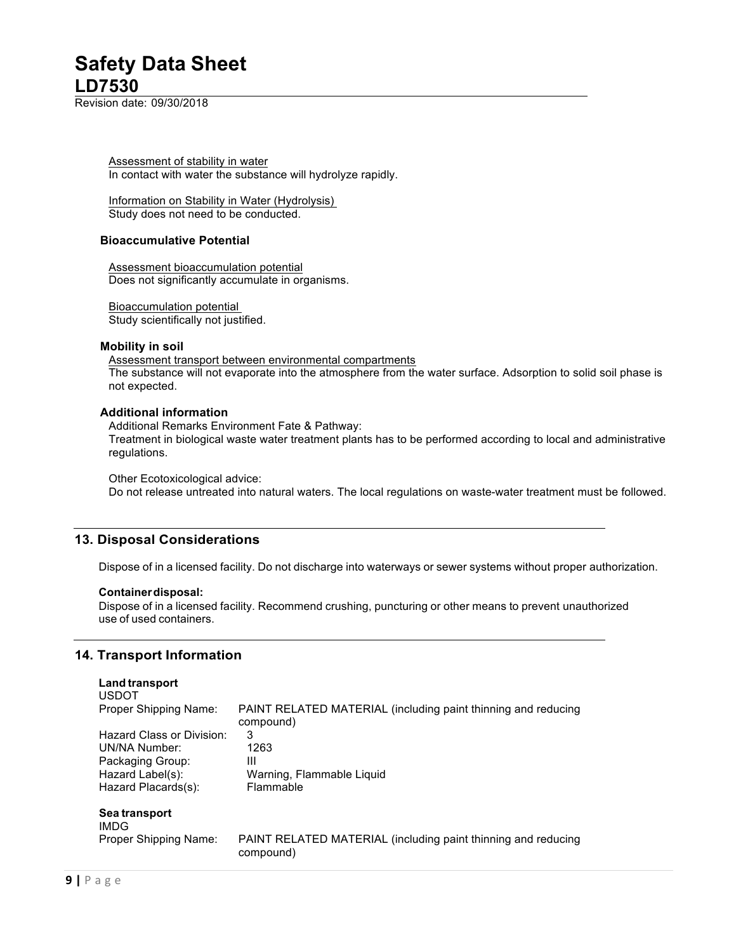Revision date: 09/30/2018

Assessment of stability in water In contact with water the substance will hydrolyze rapidly.

Information on Stability in Water (Hydrolysis) Study does not need to be conducted.

### **Bioaccumulative Potential**

Assessment bioaccumulation potential Does not significantly accumulate in organisms.

Bioaccumulation potential Study scientifically not justified.

## **Mobility in soil**

Assessment transport between environmental compartments The substance will not evaporate into the atmosphere from the water surface. Adsorption to solid soil phase is not expected.

#### **Additional information**

Additional Remarks Environment Fate & Pathway: Treatment in biological waste water treatment plants has to be performed according to local and administrative regulations.

Other Ecotoxicological advice:

Do not release untreated into natural waters. The local regulations on waste-water treatment must be followed.

# **13. Disposal Considerations**

Dispose of in a licensed facility. Do not discharge into waterways or sewer systems without proper authorization.

#### **Containerdisposal:**

Dispose of in a licensed facility. Recommend crushing, puncturing or other means to prevent unauthorized use of used containers.

# **14. Transport Information**

| <b>Land transport</b><br><b>USDOT</b> |                                                                            |
|---------------------------------------|----------------------------------------------------------------------------|
| Proper Shipping Name:                 | PAINT RELATED MATERIAL (including paint thinning and reducing<br>compound) |
| Hazard Class or Division:             | 3                                                                          |
| UN/NA Number:                         | 1263                                                                       |
| Packaging Group:                      | Ш                                                                          |
| Hazard Label(s):                      | Warning, Flammable Liquid                                                  |
| Hazard Placards(s):                   | <b>Flammable</b>                                                           |
| Sea transport<br>IMDG                 |                                                                            |
| Proper Shipping Name:                 | PAINT RELATED MATERIAL (including paint thinning and reducing<br>compound) |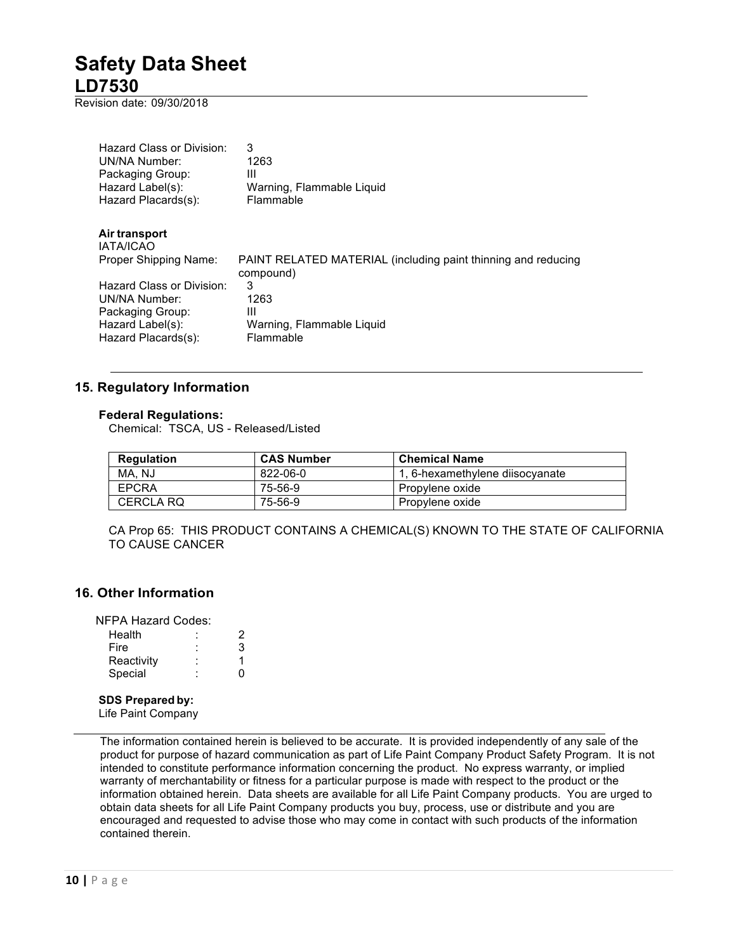Revision date: 09/30/2018

| Hazard Class or Division:<br>UN/NA Number:<br>Packaging Group:<br>Hazard Label(s):<br>Hazard Placards(s): | 3<br>1263<br>Ш<br>Warning, Flammable Liguid<br>Flammable                   |
|-----------------------------------------------------------------------------------------------------------|----------------------------------------------------------------------------|
| Air transport<br><b>IATA/ICAO</b>                                                                         |                                                                            |
| Proper Shipping Name:                                                                                     | PAINT RELATED MATERIAL (including paint thinning and reducing<br>compound) |
| Hazard Class or Division:                                                                                 | 3                                                                          |
| UN/NA Number:<br>Packaging Group:                                                                         | 1263<br>Ш                                                                  |
| Hazard Label(s):                                                                                          | Warning, Flammable Liquid                                                  |
| Hazard Placards(s):                                                                                       | Flammable                                                                  |

# **15. Regulatory Information**

## **Federal Regulations:**

Chemical: TSCA, US - Released/Listed

| <b>Regulation</b> | <b>CAS Number</b> | <b>Chemical Name</b>            |
|-------------------|-------------------|---------------------------------|
| MA, NJ            | 822-06-0          | 1, 6-hexamethylene diisocyanate |
| <b>EPCRA</b>      | 75-56-9           | Propylene oxide                 |
| CERCLA RO         | 75-56-9           | Propylene oxide                 |

CA Prop 65: THIS PRODUCT CONTAINS A CHEMICAL(S) KNOWN TO THE STATE OF CALIFORNIA TO CAUSE CANCER

# **16. Other Information**

NFPA Hazard Codes:

| Health     | ٠<br>٠ | 2 |
|------------|--------|---|
| Fire       | ٠<br>٠ | 3 |
| Reactivity | ٠<br>٠ |   |
| Special    | ٠      | O |

### **SDS Prepared by:**

Life Paint Company

The information contained herein is believed to be accurate. It is provided independently of any sale of the product for purpose of hazard communication as part of Life Paint Company Product Safety Program. It is not intended to constitute performance information concerning the product. No express warranty, or implied warranty of merchantability or fitness for a particular purpose is made with respect to the product or the information obtained herein. Data sheets are available for all Life Paint Company products. You are urged to obtain data sheets for all Life Paint Company products you buy, process, use or distribute and you are encouraged and requested to advise those who may come in contact with such products of the information contained therein.